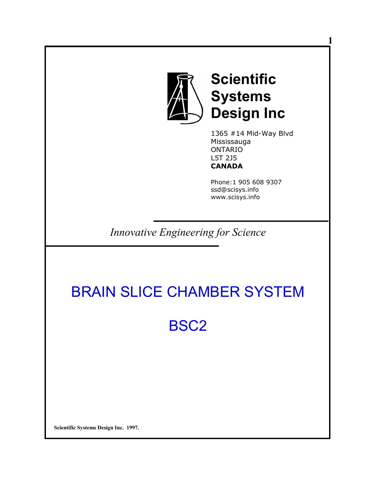

**Scientific Systems Design Inc** **1** 

1365 #14 Mid-Way Blvd Mississauga ONTARIO L5T 2J5 **CANADA** 

Phone:1 905 608 9307 ssd@scisys.info www.scisys.info

*Innovative Engineering for Science*

# BRAIN SLICE CHAMBER SYSTEM

BSC2

**Scientific Systems Design Inc. 1997.**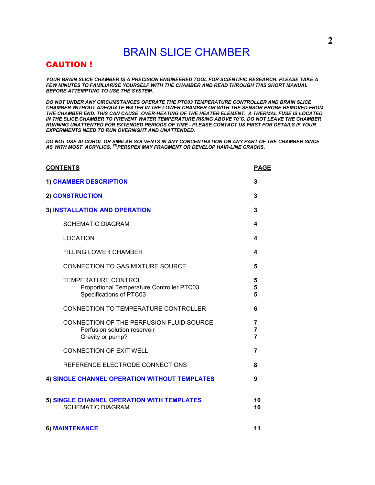# BRAIN SLICE CHAMBER

# CAUTION !

*YOUR BRAIN SLICE CHAMBER IS A PRECISION ENGINEERED TOOL FOR SCIENTIFIC RESEARCH. PLEASE TAKE A FEW MINUTES TO FAMILIARISE YOURSELF WITH THE CHAMBER AND READ THROUGH THIS SHORT MANUAL BEFORE ATTEMPTING TO USE THE SYSTEM.* 

*DO NOT UNDER ANY CIRCUMSTANCES OPERATE THE PTC03 TEMPERATURE CONTROLLER AND BRAIN SLICE CHAMBER WITHOUT ADEQUATE WATER IN THE LOWER CHAMBER OR WITH THE SENSOR PROBE REMOVED FROM THE CHAMBER END. THIS CAN CAUSE OVER-HEATING OF THE HEATER ELEMENT. A THERMAL FUSE IS LOCATED IN THE SLICE CHAMBER TO PREVENT WATER TEMPERATURE RISING ABOVE 70<sup>o</sup>C. DO NOT LEAVE THE CHAMBER RUNNING UNATTENTED FOR EXTENDED PERIODS OF TIME - PLEASE CONTACT US FIRST FOR DETAILS IF YOUR EXPERIMENTS NEED TO RUN OVERNIGHT AND UNATTENDED.* 

*DO NOT USE ALCOHOL OR SIMILAR SOLVENTS IN ANY CONCENTRATION ON ANY PART OF THE CHAMBER SINCE AS WITH MOST ACRYLICS, TMPERSPEX MAY FRAGMENT OR DEVELOP HAIR-LINE CRACKS.* 

| <b>CONTENTS</b>                                                                                    | <b>PAGE</b>                           |
|----------------------------------------------------------------------------------------------------|---------------------------------------|
| <b>1) CHAMBER DESCRIPTION</b>                                                                      | 3                                     |
| <b>2) CONSTRUCTION</b>                                                                             | 3                                     |
| 3) INSTALLATION AND OPERATION                                                                      | 3                                     |
| <b>SCHEMATIC DIAGRAM</b>                                                                           | 4                                     |
| <b>LOCATION</b>                                                                                    | 4                                     |
| <b>FILLING LOWER CHAMBER</b>                                                                       | 4                                     |
| <b>CONNECTION TO GAS MIXTURE SOURCE</b>                                                            | 5                                     |
| <b>TEMPERATURE CONTROL</b><br>Proportional Temperature Controller PTC03<br>Specifications of PTC03 | 5<br>5<br>5                           |
| CONNECTION TO TEMPERATURE CONTROLLER                                                               | 6                                     |
| CONNECTION OF THE PERFUSION FLUID SOURCE<br>Perfusion solution reservoir<br>Gravity or pump?       | 7<br>$\overline{7}$<br>$\overline{7}$ |
| <b>CONNECTION OF EXIT WELL</b>                                                                     | 7                                     |
| REFERENCE ELECTRODE CONNECTIONS                                                                    | 8                                     |
| 4) SINGLE CHANNEL OPERATION WITHOUT TEMPLATES                                                      | 9                                     |
| 5) SINGLE CHANNEL OPERATION WITH TEMPLATES<br><b>SCHEMATIC DIAGRAM</b>                             | 10<br>10                              |
| <b>6) MAINTENANCE</b>                                                                              | 11                                    |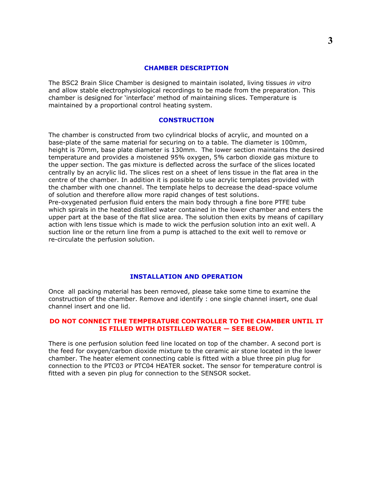#### **CHAMBER DESCRIPTION**

The BSC2 Brain Slice Chamber is designed to maintain isolated, living tissues *in vitro* and allow stable electrophysiological recordings to be made from the preparation. This chamber is designed for 'interface' method of maintaining slices. Temperature is maintained by a proportional control heating system.

#### **CONSTRUCTION**

The chamber is constructed from two cylindrical blocks of acrylic, and mounted on a base-plate of the same material for securing on to a table. The diameter is 100mm, height is 70mm, base plate diameter is 130mm. The lower section maintains the desired temperature and provides a moistened 95% oxygen, 5% carbon dioxide gas mixture to the upper section. The gas mixture is deflected across the surface of the slices located centrally by an acrylic lid. The slices rest on a sheet of lens tissue in the flat area in the centre of the chamber. In addition it is possible to use acrylic templates provided with the chamber with one channel. The template helps to decrease the dead-space volume of solution and therefore allow more rapid changes of test solutions. Pre-oxygenated perfusion fluid enters the main body through a fine bore PTFE tube which spirals in the heated distilled water contained in the lower chamber and enters the upper part at the base of the flat slice area. The solution then exits by means of capillary action with lens tissue which is made to wick the perfusion solution into an exit well. A suction line or the return line from a pump is attached to the exit well to remove or re-circulate the perfusion solution.

#### **INSTALLATION AND OPERATION**

Once all packing material has been removed, please take some time to examine the construction of the chamber. Remove and identify : one single channel insert, one dual channel insert and one lid.

#### **DO NOT CONNECT THE TEMPERATURE CONTROLLER TO THE CHAMBER UNTIL IT IS FILLED WITH DISTILLED WATER — SEE BELOW.**

There is one perfusion solution feed line located on top of the chamber. A second port is the feed for oxygen/carbon dioxide mixture to the ceramic air stone located in the lower chamber. The heater element connecting cable is fitted with a blue three pin plug for connection to the PTC03 or PTC04 HEATER socket. The sensor for temperature control is fitted with a seven pin plug for connection to the SENSOR socket.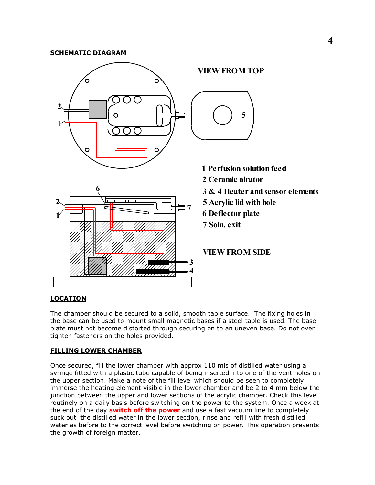# **SCHEMATIC DIAGRAM VIEW FROM TOP** O **2 5 1**  $\circ$ **1 Perfusion solution feed 2 Ceramic airator 6 3 & 4 Heater and sensor elements 2 5 Acrylic lid with hole 7 6 Deflector plate 1 7 Soln. exitVIEW FROM SIDE 3 4**

# **LOCATION**

The chamber should be secured to a solid, smooth table surface. The fixing holes in the base can be used to mount small magnetic bases if a steel table is used. The baseplate must not become distorted through securing on to an uneven base. Do not over tighten fasteners on the holes provided.

## **FILLING LOWER CHAMBER**

Once secured, fill the lower chamber with approx 110 mls of distilled water using a syringe fitted with a plastic tube capable of being inserted into one of the vent holes on the upper section. Make a note of the fill level which should be seen to completely immerse the heating element visible in the lower chamber and be 2 to 4 mm below the junction between the upper and lower sections of the acrylic chamber. Check this level routinely on a daily basis before switching on the power to the system. Once a week at the end of the day **switch off the power** and use a fast vacuum line to completely suck out the distilled water in the lower section, rinse and refill with fresh distilled water as before to the correct level before switching on power. This operation prevents the growth of foreign matter.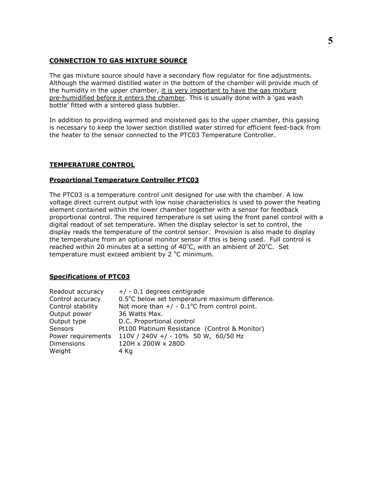### **CONNECTION TO GAS MIXTURE SOURCE**

The gas mixture source should have a secondary flow regulator for fine adjustments. Although the warmed distilled water in the bottom of the chamber will provide much of the humidity in the upper chamber, it is very important to have the gas mixture pre-humidified before it enters the chamber. This is usually done with a 'gas wash bottle' fitted with a sintered glass bubbler.

In addition to providing warmed and moistened gas to the upper chamber, this gassing is necessary to keep the lower section distilled water stirred for efficient feed-back from the heater to the sensor connected to the PTC03 Temperature Controller.

#### **TEMPERATURE CONTROL**

#### **Proportional Temperature Controller PTC03**

The PTC03 is a temperature control unit designed for use with the chamber. A low voltage direct current output with low noise characteristics is used to power the heating element contained within the lower chamber together with a sensor for feedback proportional control. The required temperature is set using the front panel control with a digital readout of set temperature. When the display selector is set to control, the display reads the temperature of the control sensor. Provision is also made to display the temperature from an optional monitor sensor if this is being used. Full control is reached within 20 minutes at a setting of  $40^{\circ}$ C, with an ambient of 20 $^{\circ}$ C. Set temperature must exceed ambient by  $2^{\circ}$ C minimum.

#### **Specifications of PTC03**

| Readout accuracy   | $+/- 0.1$ degrees centigrade                              |
|--------------------|-----------------------------------------------------------|
| Control accuracy   | 0.5°C below set temperature maximum difference.           |
| Control stability  | Not more than $+/-0.1$ <sup>o</sup> C from control point. |
| Output power       | 36 Watts Max.                                             |
| Output type        | D.C. Proportional control                                 |
| <b>Sensors</b>     | Pt100 Platinum Resistance (Control & Monitor)             |
| Power requirements | 110V / 240V +/ - 10% 50 W, 60/50 Hz                       |
| <b>Dimensions</b>  | 120H x 200W x 280D                                        |
| Weight             | 4 Kg                                                      |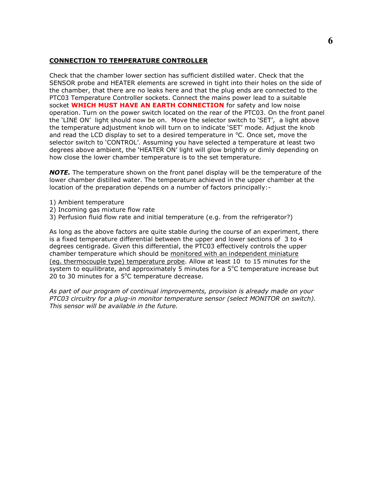### **CONNECTION TO TEMPERATURE CONTROLLER**

Check that the chamber lower section has sufficient distilled water. Check that the SENSOR probe and HEATER elements are screwed in tight into their holes on the side of the chamber, that there are no leaks here and that the plug ends are connected to the PTC03 Temperature Controller sockets. Connect the mains power lead to a suitable socket **WHICH MUST HAVE AN EARTH CONNECTION** for safety and low noise operation. Turn on the power switch located on the rear of the PTC03. On the front panel the 'LINE ON' light should now be on. Move the selector switch to 'SET', a light above the temperature adjustment knob will turn on to indicate 'SET' mode. Adjust the knob and read the LCD display to set to a desired temperature in  $\degree$ C. Once set, move the selector switch to 'CONTROL'. Assuming you have selected a temperature at least two degrees above ambient, the 'HEATER ON' light will glow brightly or dimly depending on how close the lower chamber temperature is to the set temperature.

*NOTE.* The temperature shown on the front panel display will be the temperature of the lower chamber distilled water. The temperature achieved in the upper chamber at the location of the preparation depends on a number of factors principally:-

- 1) Ambient temperature
- 2) Incoming gas mixture flow rate
- 3) Perfusion fluid flow rate and initial temperature (e.g. from the refrigerator?)

As long as the above factors are quite stable during the course of an experiment, there is a fixed temperature differential between the upper and lower sections of 3 to 4 degrees centigrade. Given this differential, the PTC03 effectively controls the upper chamber temperature which should be monitored with an independent miniature (eg. thermocouple type) temperature probe. Allow at least 10 to 15 minutes for the system to equilibrate, and approximately 5 minutes for a  $5^{\circ}$ C temperature increase but 20 to 30 minutes for a  $5^{\circ}$ C temperature decrease.

*As part of our program of continual improvements, provision is already made on your PTC03 circuitry for a plug-in monitor temperature sensor (select MONITOR on switch). This sensor will be available in the future.*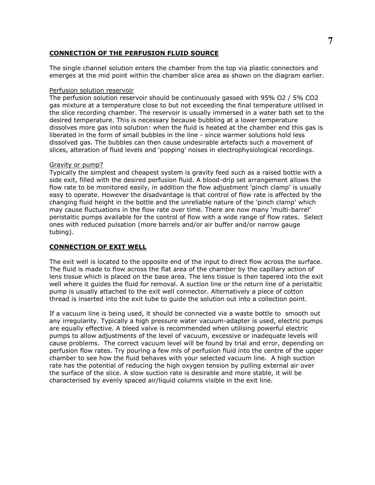#### **CONNECTION OF THE PERFUSION FLUID SOURCE**

The single channel solution enters the chamber from the top via plastic connectors and emerges at the mid point within the chamber slice area as shown on the diagram earlier.

#### Perfusion solution reservoir

The perfusion solution reservoir should be continuously gassed with 95% O2 / 5% CO2 gas mixture at a temperature close to but not exceeding the final temperature utilised in the slice recording chamber. The reservoir is usually immersed in a water bath set to the desired temperature. This is necessary because bubbling at a lower temperature dissolves more gas into solution: when the fluid is heated at the chamber end this gas is liberated in the form of small bubbles in the line - since warmer solutions hold less dissolved gas. The bubbles can then cause undesirable artefacts such a movement of slices, alteration of fluid levels and 'popping' noises in electrophysiological recordings.

#### Gravity or pump?

Typically the simplest and cheapest system is gravity feed such as a raised bottle with a side exit, filled with the desired perfusion fluid. A blood-drip set arrangement allows the flow rate to be monitored easily, in addition the flow adjustment 'pinch clamp' is usually easy to operate. However the disadvantage is that control of flow rate is affected by the changing fluid height in the bottle and the unreliable nature of the 'pinch clamp' which may cause fluctuations in the flow rate over time. There are now many 'multi-barrel' peristaltic pumps available for the control of flow with a wide range of flow rates. Select ones with reduced pulsation (more barrels and/or air buffer and/or narrow gauge tubing).

#### **CONNECTION OF EXIT WELL**

The exit well is located to the opposite end of the input to direct flow across the surface. The fluid is made to flow across the flat area of the chamber by the capillary action of lens tissue which is placed on the base area. The lens tissue is then tapered into the exit well where it guides the fluid for removal. A suction line or the return line of a peristaltic pump is usually attached to the exit well connector. Alternatively a piece of cotton thread is inserted into the exit tube to guide the solution out into a collection point.

If a vacuum line is being used, it should be connected via a waste bottle to smooth out any irregularity. Typically a high pressure water vacuum-adapter is used, electric pumps are equally effective. A bleed valve is recommended when utilising powerful electric pumps to allow adjustments of the level of vacuum, excessive or inadequate levels will cause problems. The correct vacuum level will be found by trial and error, depending on perfusion flow rates. Try pouring a few mls of perfusion fluid into the centre of the upper chamber to see how the fluid behaves with your selected vacuum line. A high suction rate has the potential of reducing the high oxygen tension by pulling external air over the surface of the slice. A slow suction rate is desirable and more stable, it will be characterised by evenly spaced air/liquid columns visible in the exit line.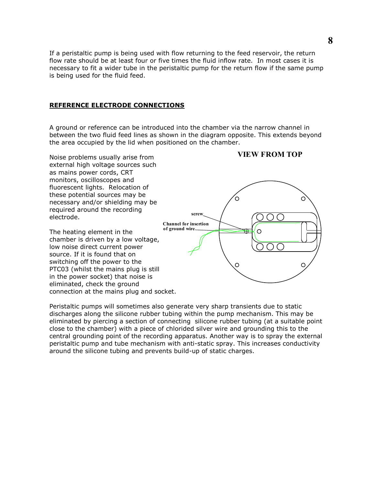If a peristaltic pump is being used with flow returning to the feed reservoir, the return flow rate should be at least four or five times the fluid inflow rate. In most cases it is necessary to fit a wider tube in the peristaltic pump for the return flow if the same pump is being used for the fluid feed.

#### **REFERENCE ELECTRODE CONNECTIONS**

A ground or reference can be introduced into the chamber via the narrow channel in between the two fluid feed lines as shown in the diagram opposite. This extends beyond the area occupied by the lid when positioned on the chamber.



Peristaltic pumps will sometimes also generate very sharp transients due to static discharges along the silicone rubber tubing within the pump mechanism. This may be eliminated by piercing a section of connecting silicone rubber tubing (at a suitable point close to the chamber) with a piece of chlorided silver wire and grounding this to the central grounding point of the recording apparatus. Another way is to spray the external peristaltic pump and tube mechanism with anti-static spray. This increases conductivity around the silicone tubing and prevents build-up of static charges.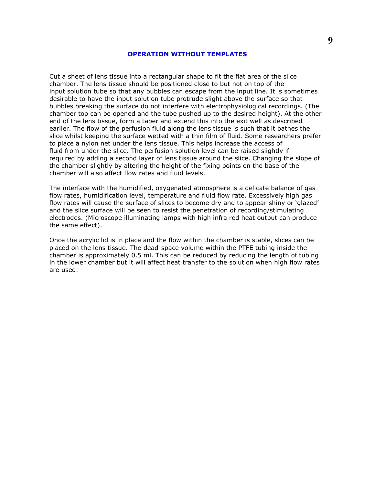#### **OPERATION WITHOUT TEMPLATES**

Cut a sheet of lens tissue into a rectangular shape to fit the flat area of the slice chamber. The lens tissue should be positioned close to but not on top of the input solution tube so that any bubbles can escape from the input line. It is sometimes desirable to have the input solution tube protrude slight above the surface so that bubbles breaking the surface do not interfere with electrophysiological recordings. (The chamber top can be opened and the tube pushed up to the desired height). At the other end of the lens tissue, form a taper and extend this into the exit well as described earlier. The flow of the perfusion fluid along the lens tissue is such that it bathes the slice whilst keeping the surface wetted with a thin film of fluid. Some researchers prefer to place a nylon net under the lens tissue. This helps increase the access of fluid from under the slice. The perfusion solution level can be raised slightly if required by adding a second layer of lens tissue around the slice. Changing the slope of the chamber slightly by altering the height of the fixing points on the base of the chamber will also affect flow rates and fluid levels.

The interface with the humidified, oxygenated atmosphere is a delicate balance of gas flow rates, humidification level, temperature and fluid flow rate. Excessively high gas flow rates will cause the surface of slices to become dry and to appear shiny or 'glazed' and the slice surface will be seen to resist the penetration of recording/stimulating electrodes. (Microscope illuminating lamps with high infra red heat output can produce the same effect).

Once the acrylic lid is in place and the flow within the chamber is stable, slices can be placed on the lens tissue. The dead-space volume within the PTFE tubing inside the chamber is approximately 0.5 ml. This can be reduced by reducing the length of tubing in the lower chamber but it will affect heat transfer to the solution when high flow rates are used.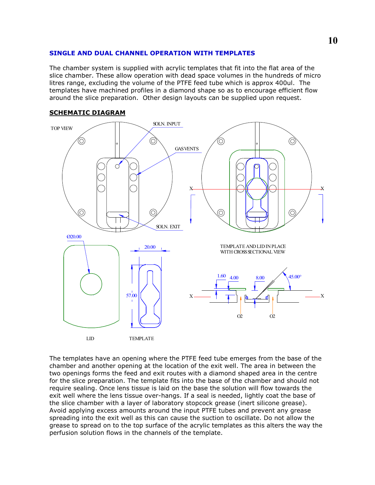#### **SINGLE AND DUAL CHANNEL OPERATION WITH TEMPLATES**

The chamber system is supplied with acrylic templates that fit into the flat area of the slice chamber. These allow operation with dead space volumes in the hundreds of micro litres range, excluding the volume of the PTFE feed tube which is approx 400ul. The templates have machined profiles in a diamond shape so as to encourage efficient flow around the slice preparation. Other design layouts can be supplied upon request.



#### **SCHEMATIC DIAGRAM**

The templates have an opening where the PTFE feed tube emerges from the base of the chamber and another opening at the location of the exit well. The area in between the two openings forms the feed and exit routes with a diamond shaped area in the centre for the slice preparation. The template fits into the base of the chamber and should not require sealing. Once lens tissue is laid on the base the solution will flow towards the exit well where the lens tissue over-hangs. If a seal is needed, lightly coat the base of the slice chamber with a layer of laboratory stopcock grease (inert silicone grease). Avoid applying excess amounts around the input PTFE tubes and prevent any grease spreading into the exit well as this can cause the suction to oscillate. Do not allow the grease to spread on to the top surface of the acrylic templates as this alters the way the perfusion solution flows in the channels of the template.